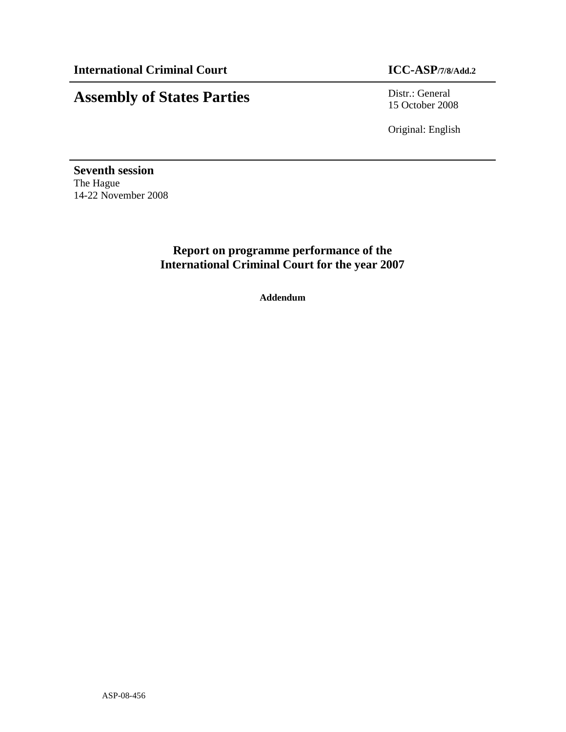# **Assembly of States Parties** Distr.: General

15 October 2008

Original: English

**Seventh session**  The Hague 14-22 November 2008

## **Report on programme performance of the International Criminal Court for the year 2007**

**Addendum**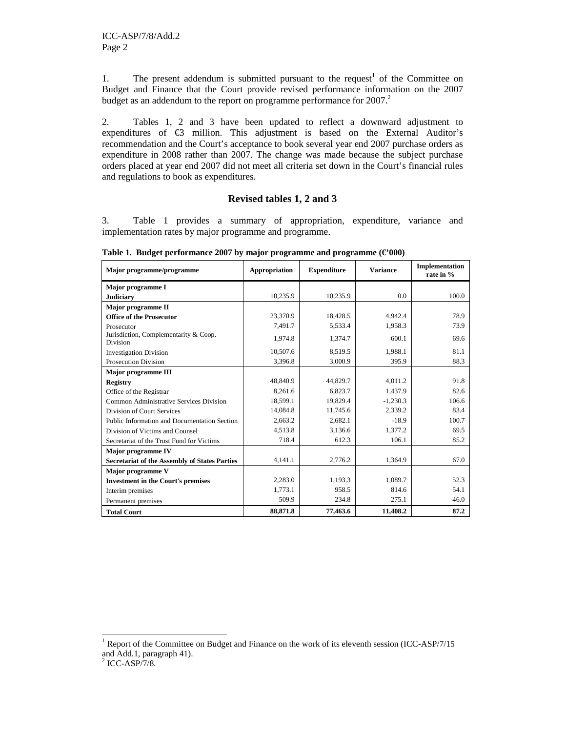1. The present addendum is submitted pursuant to the request<sup>1</sup> of the Committee on Budget and Finance that the Court provide revised performance information on the 2007 budget as an addendum to the report on programme performance for  $2007$ .<sup>2</sup>

2. Tables 1, 2 and 3 have been updated to reflect a downward adjustment to expenditures of  $\epsilon$ 3 million. This adjustment is based on the External Auditor's recommendation and the Court's acceptance to book several year end 2007 purchase orders as expenditure in 2008 rather than 2007. The change was made because the subject purchase orders placed at year end 2007 did not meet all criteria set down in the Court's financial rules and regulations to book as expenditures.

#### **Revised tables 1, 2 and 3**

3. Table 1 provides a summary of appropriation, expenditure, variance and implementation rates by major programme and programme.

| Major programme/programme                                | Appropriation | <b>Expenditure</b> | <b>Variance</b> | Implementation<br>rate in % |
|----------------------------------------------------------|---------------|--------------------|-----------------|-----------------------------|
| Major programme I                                        |               |                    |                 |                             |
| <b>Judiciary</b>                                         | 10,235.9      | 10,235.9           | 0.0             | 100.0                       |
| Major programme II                                       |               |                    |                 |                             |
| <b>Office of the Prosecutor</b>                          | 23,370.9      | 18,428.5           | 4,942.4         | 78.9                        |
| Prosecutor                                               | 7,491.7       | 5,533.4            | 1,958.3         | 73.9                        |
| Jurisdiction, Complementarity & Coop.<br><b>Division</b> | 1,974.8       | 1,374.7            | 600.1           | 69.6                        |
| <b>Investigation Division</b>                            | 10.507.6      | 8,519.5            | 1,988.1         | 81.1                        |
| <b>Prosecution Division</b>                              | 3,396.8       | 3,000.9            | 395.9           | 88.3                        |
| <b>Major programme III</b>                               |               |                    |                 |                             |
| Registry                                                 | 48,840.9      | 44,829.7           | 4.011.2         | 91.8                        |
| Office of the Registrar                                  | 8.261.6       | 6.823.7            | 1,437.9         | 82.6                        |
| Common Administrative Services Division                  | 18,599.1      | 19,829.4           | $-1,230.3$      | 106.6                       |
| Division of Court Services                               | 14,084.8      | 11,745.6           | 2,339.2         | 83.4                        |
| Public Information and Documentation Section             | 2,663.2       | 2,682.1            | $-18.9$         | 100.7                       |
| Division of Victims and Counsel                          | 4,513.8       | 3,136.6            | 1,377.2         | 69.5                        |
| Secretariat of the Trust Fund for Victims                | 718.4         | 612.3              | 106.1           | 85.2                        |
| <b>Major programme IV</b>                                |               |                    |                 |                             |
| <b>Secretariat of the Assembly of States Parties</b>     | 4,141.1       | 2,776.2            | 1,364.9         | 67.0                        |
| Major programme V                                        |               |                    |                 |                             |
| <b>Investment in the Court's premises</b>                | 2,283.0       | 1,193.3            | 1,089.7         | 52.3                        |
| Interim premises                                         | 1,773.1       | 958.5              | 814.6           | 54.1                        |
| Permanent premises                                       | 509.9         | 234.8              | 275.1           | 46.0                        |
| <b>Total Court</b>                                       | 88.871.8      | 77,463.6           | 11,408.2        | 87.2                        |

**Table 1. Budget performance 2007 by major programme and programme (€'000)** 

-

<sup>&</sup>lt;sup>1</sup> Report of the Committee on Budget and Finance on the work of its eleventh session (ICC-ASP/7/15 and Add.1, paragraph 41).

<sup>2</sup> ICC-ASP/7/8.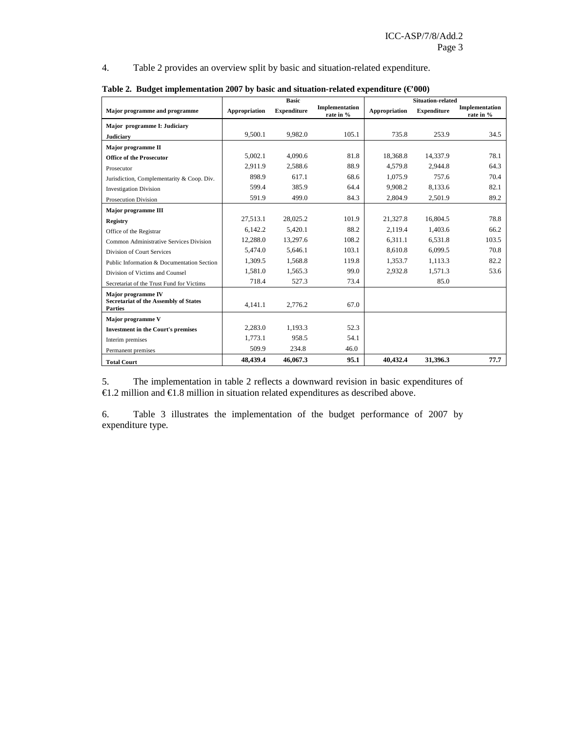4. Table 2 provides an overview split by basic and situation-related expenditure.

|                                                                |               | <b>Basic</b>       |                             | <b>Situation-related</b> |             |                             |
|----------------------------------------------------------------|---------------|--------------------|-----------------------------|--------------------------|-------------|-----------------------------|
| Major programme and programme                                  | Appropriation | <b>Expenditure</b> | Implementation<br>rate in % | Appropriation            | Expenditure | Implementation<br>rate in % |
| Major programme I: Judiciary                                   |               |                    |                             |                          |             |                             |
| <b>Judiciary</b>                                               | 9,500.1       | 9,982.0            | 105.1                       | 735.8                    | 253.9       | 34.5                        |
| Major programme II                                             |               |                    |                             |                          |             |                             |
| <b>Office of the Prosecutor</b>                                | 5,002.1       | 4,090.6            | 81.8                        | 18,368.8                 | 14,337.9    | 78.1                        |
| Prosecutor                                                     | 2,911.9       | 2,588.6            | 88.9                        | 4,579.8                  | 2,944.8     | 64.3                        |
| Jurisdiction, Complementarity & Coop. Div.                     | 898.9         | 617.1              | 68.6                        | 1,075.9                  | 757.6       | 70.4                        |
| <b>Investigation Division</b>                                  | 599.4         | 385.9              | 64.4                        | 9,908.2                  | 8,133.6     | 82.1                        |
| <b>Prosecution Division</b>                                    | 591.9         | 499.0              | 84.3                        | 2,804.9                  | 2,501.9     | 89.2                        |
| Major programme III                                            |               |                    |                             |                          |             |                             |
| <b>Registry</b>                                                | 27,513.1      | 28,025.2           | 101.9                       | 21,327.8                 | 16,804.5    | 78.8                        |
| Office of the Registrar                                        | 6,142.2       | 5,420.1            | 88.2                        | 2,119.4                  | 1,403.6     | 66.2                        |
| Common Administrative Services Division                        | 12,288.0      | 13,297.6           | 108.2                       | 6,311.1                  | 6,531.8     | 103.5                       |
| Division of Court Services                                     | 5,474.0       | 5,646.1            | 103.1                       | 8,610.8                  | 6,099.5     | 70.8                        |
| Public Information & Documentation Section                     | 1,309.5       | 1,568.8            | 119.8                       | 1,353.7                  | 1,113.3     | 82.2                        |
| Division of Victims and Counsel                                | 1,581.0       | 1,565.3            | 99.0                        | 2,932.8                  | 1,571.3     | 53.6                        |
| Secretariat of the Trust Fund for Victims                      | 718.4         | 527.3              | 73.4                        |                          | 85.0        |                             |
| Major programme IV                                             |               |                    |                             |                          |             |                             |
| <b>Secretariat of the Assembly of States</b><br><b>Parties</b> | 4,141.1       | 2,776.2            | 67.0                        |                          |             |                             |
| Major programme V                                              |               |                    |                             |                          |             |                             |
| <b>Investment in the Court's premises</b>                      | 2,283.0       | 1,193.3            | 52.3                        |                          |             |                             |
| Interim premises                                               | 1,773.1       | 958.5              | 54.1                        |                          |             |                             |
| Permanent premises                                             | 509.9         | 234.8              | 46.0                        |                          |             |                             |
| <b>Total Court</b>                                             | 48,439.4      | 46,067.3           | 95.1                        | 40,432.4                 | 31,396.3    | 77.7                        |

| Table 2. Budget implementation 2007 by basic and situation-related expenditure ( $\epsilon$ '000) |  |  |
|---------------------------------------------------------------------------------------------------|--|--|
|                                                                                                   |  |  |

5. The implementation in table 2 reflects a downward revision in basic expenditures of €1.2 million and €1.8 million in situation related expenditures as described above.

6. Table 3 illustrates the implementation of the budget performance of 2007 by expenditure type.